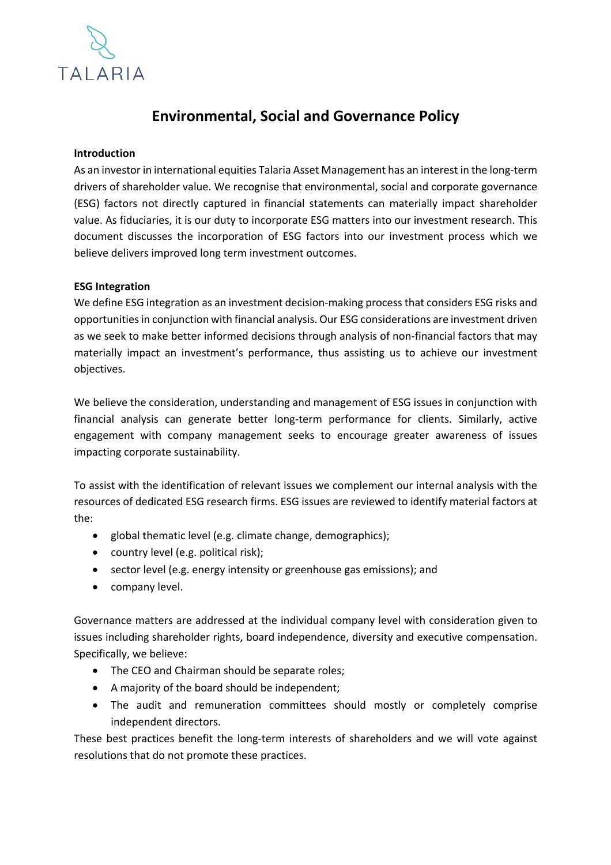

# **Environmental, Social and Governance Policy**

### **Introduction**

As an investor in international equities Talaria Asset Management has an interest in the long-term drivers of shareholder value. We recognise that environmental, social and corporate governance (ESG) factors not directly captured in financial statements can materially impact shareholder value. As fiduciaries, it is our duty to incorporate ESG matters into our investment research. This document discusses the incorporation of ESG factors into our investment process which we believe delivers improved long term investment outcomes.

#### **ESG Integration**

We define ESG integration as an investment decision-making process that considers ESG risks and opportunities in conjunction with financial analysis. Our ESG considerations are investment driven as we seek to make better informed decisions through analysis of non-financial factors that may materially impact an investment's performance, thus assisting us to achieve our investment objectives.

We believe the consideration, understanding and management of ESG issues in conjunction with financial analysis can generate better long-term performance for clients. Similarly, active engagement with company management seeks to encourage greater awareness of issues impacting corporate sustainability.

To assist with the identification of relevant issues we complement our internal analysis with the resources of dedicated ESG research firms. ESG issues are reviewed to identify material factors at the:

- global thematic level (e.g. climate change, demographics);
- country level (e.g. political risk);
- sector level (e.g. energy intensity or greenhouse gas emissions); and
- company level.

Governance matters are addressed at the individual company level with consideration given to issues including shareholder rights, board independence, diversity and executive compensation. Specifically, we believe:

- The CEO and Chairman should be separate roles;
- A majority of the board should be independent;
- The audit and remuneration committees should mostly or completely comprise independent directors.

These best practices benefit the long-term interests of shareholders and we will vote against resolutions that do not promote these practices.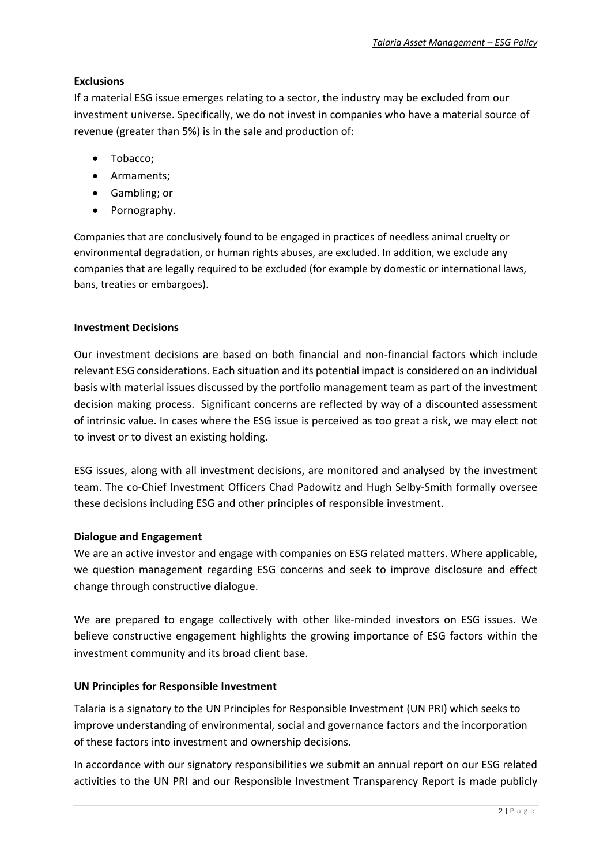## **Exclusions**

If a material ESG issue emerges relating to a sector, the industry may be excluded from our investment universe. Specifically, we do not invest in companies who have a material source of revenue (greater than 5%) is in the sale and production of:

- Tobacco;
- Armaments;
- Gambling; or
- Pornography.

Companies that are conclusively found to be engaged in practices of needless animal cruelty or environmental degradation, or human rights abuses, are excluded. In addition, we exclude any companies that are legally required to be excluded (for example by domestic or international laws, bans, treaties or embargoes).

## **Investment Decisions**

Our investment decisions are based on both financial and non-financial factors which include relevant ESG considerations. Each situation and its potential impact is considered on an individual basis with material issues discussed by the portfolio management team as part of the investment decision making process. Significant concerns are reflected by way of a discounted assessment of intrinsic value. In cases where the ESG issue is perceived as too great a risk, we may elect not to invest or to divest an existing holding.

ESG issues, along with all investment decisions, are monitored and analysed by the investment team. The co-Chief Investment Officers Chad Padowitz and Hugh Selby-Smith formally oversee these decisions including ESG and other principles of responsible investment.

## **Dialogue and Engagement**

We are an active investor and engage with companies on ESG related matters. Where applicable, we question management regarding ESG concerns and seek to improve disclosure and effect change through constructive dialogue.

We are prepared to engage collectively with other like-minded investors on ESG issues. We believe constructive engagement highlights the growing importance of ESG factors within the investment community and its broad client base.

## **UN Principles for Responsible Investment**

Talaria is a signatory to the UN Principles for Responsible Investment (UN PRI) which seeks to improve understanding of environmental, social and governance factors and the incorporation of these factors into investment and ownership decisions.

In accordance with our signatory responsibilities we submit an annual report on our ESG related activities to the UN PRI and our Responsible Investment Transparency Report is made publicly